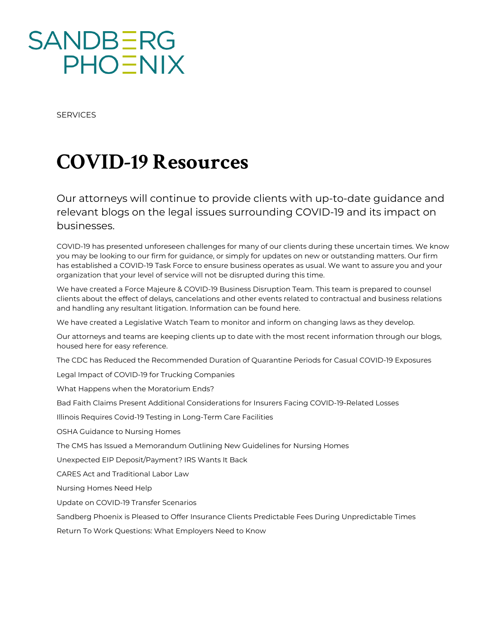SERVICES

## COVID-19 Resources

Our attorneys will continue to provide clients with up-to-d relevant blogs on the legal issues surrounding COVID-19 and its impact on the legal issues surrounding COVID-19 businesses.

COVID-19 has presented unforeseen challenges for many of our clients during these you may be looking to our firm for guidance, or simply for updates on new or outsta has established a COVID-19 Task Force to ensure business operates as usual. We w organization that your level of service will not be disrupted during this time.

We have creafecd cae Majeure & COVID-19 Business Dishiusp ttion ann Tiesa pprepared to counsel clients about the effect of delays, cancelations and other events related to contract and handling any resultant litig[atio](http://sandbergphoenix.com/practice/services/force-majeure)n. Informahieone can be found

We have created a Legislative Watch Team to monitor and inform on changing laws a

Our attorneys and teams are keeping clients up to date with the most recent information housed here for easy reference.

[The CDC has Reduced the Recommended Duration of Quarantine Periods fo](http://sandbergphoenix.com/perspectives/blogs/employer-law-blog/the-cdc-has-reduced-the-recommended-duration-of-quarantine-periods-for-casual-covid-19-exposures)r Casual

[Legal Impact of COVID-19 for Truck](http://www.sandbergphoenix.com/perspectives/blogs/trucking-defense-blog/legal-impact-of-covid-19-for-trucking-companies)ing Companies

[What Happens when the Morato](http://www.sandbergphoenix.com/perspectives/blogs/bankruptcy-blog/what-happens-when-the-moratorium-ends)rium Ends?

[Bad Faith Claims Present Additional Considerations for Insurers Fac](http://www.sandbergphoenix.com/perspectives/blogs/bad-faith-blog/bad-faith-claims-present-additional-considerations-for-insurers-facing-covid-19-related-losses)ing COVID-19-R

[Illinois Requires Covid-19 Testing in Long-](http://www.sandbergphoenix.com/perspectives/blogs/long-term-care-senior-living-blog/illinois-requires-covid-19-testing-in-long-term-care-facilities)Term Care Facilities

[OSHA Guidance to Nursi](http://www.sandbergphoenix.com/perspectives/blogs/long-term-care-senior-living-blog/osha-guidance-to-nursing-homes)ng Homes

[The CMS has Issued a Memorandum Outlining New Guideli](http://www.sandbergphoenix.com/perspectives/blogs/physician-law-blog/the-cms-has-issued-a-memorandum-outlining-new-guidelines-for-nursing-homes)nes for Nursing Homes

[Unexpected EIP Deposit/Payment? IRS](http://www.sandbergphoenix.com/perspectives/blogs/human-resources-blog/unexpected-eip-deposit-payment-irs-wants-it-back) Wants It Back

[CARES Act and Traditiona](http://www.sandbergphoenix.com/perspectives/blogs/employer-law-blog/cares-act-and-traditional-labor-law)l Labor Law

[Nursing Homes Nee](http://www.sandbergphoenix.com/perspectives/blogs/long-term-care-senior-living-blog/nursing-homes-need-help)d Help

[Update on COVID-19 Transf](http://www.sandbergphoenix.com/perspectives/blogs/long-term-care-senior-living-blog/update-on-covid-19-transfer-scenarios)er Scenarios

[Sandberg Phoenix is Pleased to Offer Insurance Clients Predictable Fe](http://www.sandbergphoenix.com/perspectives/blogs/bad-faith-blog/sandberg-phoenix-is-pleased-to-offer-insurance-clients-predictable-fees-for-unprecedented-times)es During Un [Return To Work Questions: What Employe](http://sandbergphoenix.com/perspectives/blogs/employer-law-blog/return-to-work-questions-what-employers-need-to-know)rs Need to Know